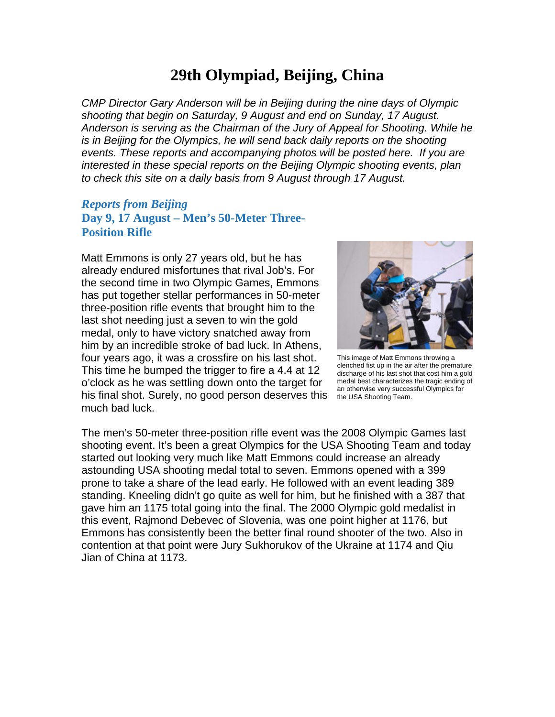# **29th Olympiad, Beijing, China**

*CMP Director Gary Anderson will be in Beijing during the nine days of Olympic shooting that begin on Saturday, 9 August and end on Sunday, 17 August. Anderson is serving as the Chairman of the Jury of Appeal for Shooting. While he is in Beijing for the Olympics, he will send back daily reports on the shooting events. These reports and accompanying photos will be posted here. If you are interested in these special reports on the Beijing Olympic shooting events, plan to check this site on a daily basis from 9 August through 17 August.*

## *Reports from Beijing* **Day 9, 17 August – Men's 50-Meter Three-Position Rifle**

Matt Emmons is only 27 years old, but he has already endured misfortunes that rival Job's. For the second time in two Olympic Games, Emmons has put together stellar performances in 50-meter three-position rifle events that brought him to the last shot needing just a seven to win the gold medal, only to have victory snatched away from him by an incredible stroke of bad luck. In Athens, four years ago, it was a crossfire on his last shot. This time he bumped the trigger to fire a 4.4 at 12 o'clock as he was settling down onto the target for his final shot. Surely, no good person deserves this much bad luck.



This image of Matt Emmons throwing a clenched fist up in the air after the premature discharge of his last shot that cost him a gold medal best characterizes the tragic ending of an otherwise very successful Olympics for the USA Shooting Team.

The men's 50-meter three-position rifle event was the 2008 Olympic Games last shooting event. It's been a great Olympics for the USA Shooting Team and today started out looking very much like Matt Emmons could increase an already astounding USA shooting medal total to seven. Emmons opened with a 399 prone to take a share of the lead early. He followed with an event leading 389 standing. Kneeling didn't go quite as well for him, but he finished with a 387 that gave him an 1175 total going into the final. The 2000 Olympic gold medalist in this event, Rajmond Debevec of Slovenia, was one point higher at 1176, but Emmons has consistently been the better final round shooter of the two. Also in contention at that point were Jury Sukhorukov of the Ukraine at 1174 and Qiu Jian of China at 1173.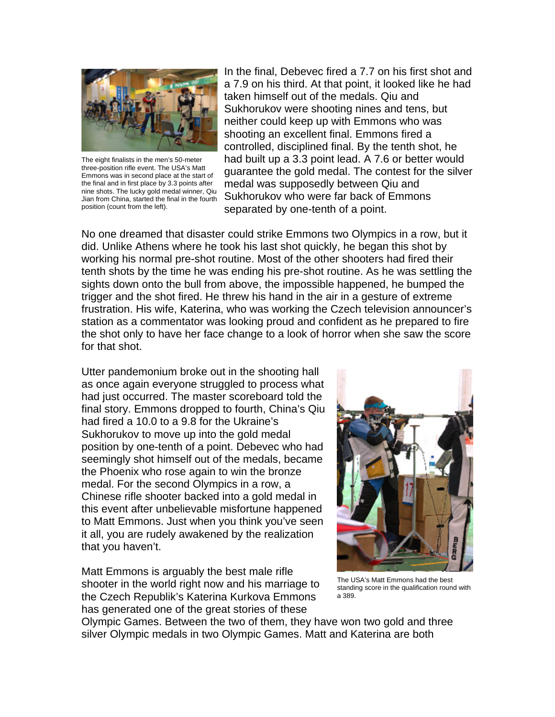

The eight finalists in the men's 50-meter three-position rifle event. The USA's Matt Emmons was in second place at the start of the final and in first place by 3.3 points after nine shots. The lucky gold medal winner, Qiu Jian from China, started the final in the fourth position (count from the left).

In the final, Debevec fired a 7.7 on his first shot and a 7.9 on his third. At that point, it looked like he had taken himself out of the medals. Qiu and Sukhorukov were shooting nines and tens, but neither could keep up with Emmons who was shooting an excellent final. Emmons fired a controlled, disciplined final. By the tenth shot, he had built up a 3.3 point lead. A 7.6 or better would guarantee the gold medal. The contest for the silver medal was supposedly between Qiu and Sukhorukov who were far back of Emmons separated by one-tenth of a point.

No one dreamed that disaster could strike Emmons two Olympics in a row, but it did. Unlike Athens where he took his last shot quickly, he began this shot by working his normal pre-shot routine. Most of the other shooters had fired their tenth shots by the time he was ending his pre-shot routine. As he was settling the sights down onto the bull from above, the impossible happened, he bumped the trigger and the shot fired. He threw his hand in the air in a gesture of extreme frustration. His wife, Katerina, who was working the Czech television announcer's station as a commentator was looking proud and confident as he prepared to fire the shot only to have her face change to a look of horror when she saw the score for that shot.

Utter pandemonium broke out in the shooting hall as once again everyone struggled to process what had just occurred. The master scoreboard told the final story. Emmons dropped to fourth, China's Qiu had fired a 10.0 to a 9.8 for the Ukraine's Sukhorukov to move up into the gold medal position by one-tenth of a point. Debevec who had seemingly shot himself out of the medals, became the Phoenix who rose again to win the bronze medal. For the second Olympics in a row, a Chinese rifle shooter backed into a gold medal in this event after unbelievable misfortune happened to Matt Emmons. Just when you think you've seen it all, you are rudely awakened by the realization that you haven't.

Matt Emmons is arguably the best male rifle shooter in the world right now and his marriage to the Czech Republik's Katerina Kurkova Emmons has generated one of the great stories of these



The USA's Matt Emmons had the best standing score in the qualification round with a 389.

Olympic Games. Between the two of them, they have won two gold and three silver Olympic medals in two Olympic Games. Matt and Katerina are both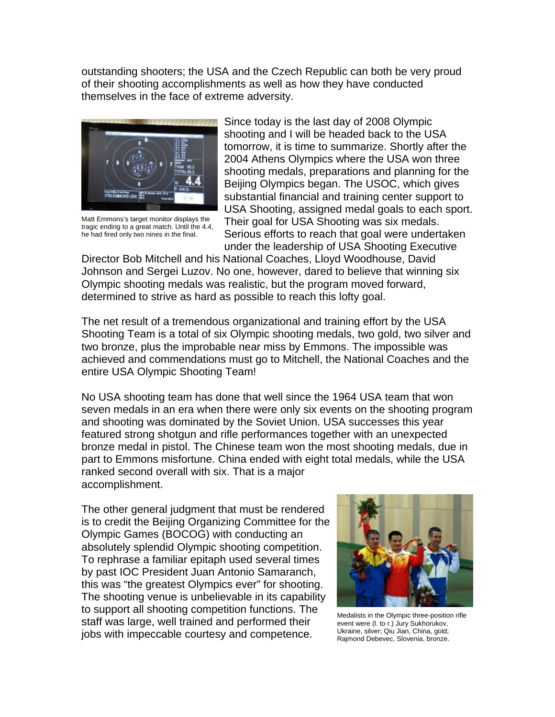outstanding shooters; the USA and the Czech Republic can both be very proud of their shooting accomplishments as well as how they have conducted themselves in the face of extreme adversity.



Matt Emmons's target monitor displays the tragic ending to a great match. Until the 4.4, he had fired only two nines in the final.

Since today is the last day of 2008 Olympic shooting and I will be headed back to the USA tomorrow, it is time to summarize. Shortly after the 2004 Athens Olympics where the USA won three shooting medals, preparations and planning for the Beijing Olympics began. The USOC, which gives substantial financial and training center support to USA Shooting, assigned medal goals to each sport. Their goal for USA Shooting was six medals. Serious efforts to reach that goal were undertaken under the leadership of USA Shooting Executive

Director Bob Mitchell and his National Coaches, Lloyd Woodhouse, David Johnson and Sergei Luzov. No one, however, dared to believe that winning six Olympic shooting medals was realistic, but the program moved forward, determined to strive as hard as possible to reach this lofty goal.

The net result of a tremendous organizational and training effort by the USA Shooting Team is a total of six Olympic shooting medals, two gold, two silver and two bronze, plus the improbable near miss by Emmons. The impossible was achieved and commendations must go to Mitchell, the National Coaches and the entire USA Olympic Shooting Team!

No USA shooting team has done that well since the 1964 USA team that won seven medals in an era when there were only six events on the shooting program and shooting was dominated by the Soviet Union. USA successes this year featured strong shotgun and rifle performances together with an unexpected bronze medal in pistol. The Chinese team won the most shooting medals, due in part to Emmons misfortune. China ended with eight total medals, while the USA ranked second overall with six. That is a major accomplishment.

The other general judgment that must be rendered is to credit the Beijing Organizing Committee for the Olympic Games (BOCOG) with conducting an absolutely splendid Olympic shooting competition. To rephrase a familiar epitaph used several times by past IOC President Juan Antonio Samaranch, this was "the greatest Olympics ever" for shooting. The shooting venue is unbelievable in its capability to support all shooting competition functions. The staff was large, well trained and performed their jobs with impeccable courtesy and competence.



Medalists in the Olympic three-position rifle event were (l. to r.) Jury Sukhorukov, Ukraine, silver; Qiu Jian, China, gold; Rajmond Debevec, Slovenia, bronze.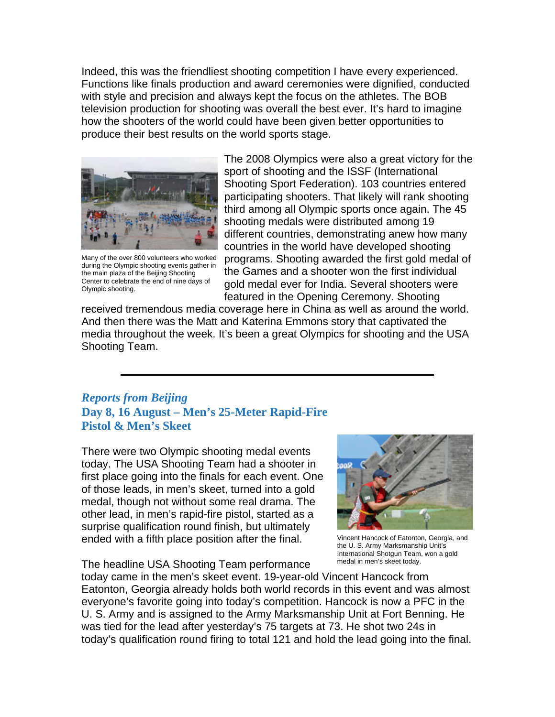Indeed, this was the friendliest shooting competition I have every experienced. Functions like finals production and award ceremonies were dignified, conducted with style and precision and always kept the focus on the athletes. The BOB television production for shooting was overall the best ever. It's hard to imagine how the shooters of the world could have been given better opportunities to produce their best results on the world sports stage.



Many of the over 800 volunteers who worked during the Olympic shooting events gather in the main plaza of the Beijing Shooting Center to celebrate the end of nine days of Olympic shooting.

The 2008 Olympics were also a great victory for the sport of shooting and the ISSF (International Shooting Sport Federation). 103 countries entered participating shooters. That likely will rank shooting third among all Olympic sports once again. The 45 shooting medals were distributed among 19 different countries, demonstrating anew how many countries in the world have developed shooting programs. Shooting awarded the first gold medal of the Games and a shooter won the first individual gold medal ever for India. Several shooters were featured in the Opening Ceremony. Shooting

received tremendous media coverage here in China as well as around the world. And then there was the Matt and Katerina Emmons story that captivated the media throughout the week. It's been a great Olympics for shooting and the USA Shooting Team.

#### *Reports from Beijing* **Day 8, 16 August – Men's 25-Meter Rapid-Fire Pistol & Men's Skeet**

There were two Olympic shooting medal events today. The USA Shooting Team had a shooter in first place going into the finals for each event. One of those leads, in men's skeet, turned into a gold medal, though not without some real drama. The other lead, in men's rapid-fire pistol, started as a surprise qualification round finish, but ultimately ended with a fifth place position after the final.

The headline USA Shooting Team performance



Vincent Hancock of Eatonton, Georgia, and the U. S. Army Marksmanship Unit's International Shotgun Team, won a gold medal in men's skeet today.

today came in the men's skeet event. 19-year-old Vincent Hancock from Eatonton, Georgia already holds both world records in this event and was almost everyone's favorite going into today's competition. Hancock is now a PFC in the U. S. Army and is assigned to the Army Marksmanship Unit at Fort Benning. He was tied for the lead after yesterday's 75 targets at 73. He shot two 24s in today's qualification round firing to total 121 and hold the lead going into the final.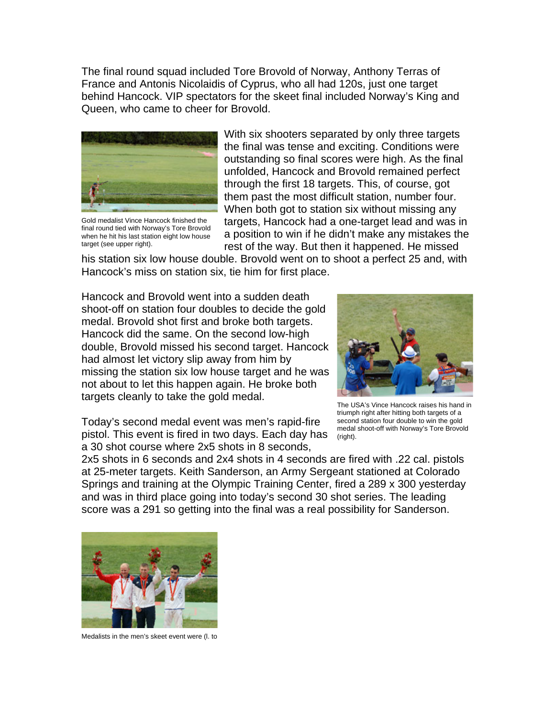The final round squad included Tore Brovold of Norway, Anthony Terras of France and Antonis Nicolaidis of Cyprus, who all had 120s, just one target behind Hancock. VIP spectators for the skeet final included Norway's King and Queen, who came to cheer for Brovold.



Gold medalist Vince Hancock finished the final round tied with Norway's Tore Brovold when he hit his last station eight low house target (see upper right).

With six shooters separated by only three targets the final was tense and exciting. Conditions were outstanding so final scores were high. As the final unfolded, Hancock and Brovold remained perfect through the first 18 targets. This, of course, got them past the most difficult station, number four. When both got to station six without missing any targets, Hancock had a one-target lead and was in a position to win if he didn't make any mistakes the rest of the way. But then it happened. He missed

his station six low house double. Brovold went on to shoot a perfect 25 and, with Hancock's miss on station six, tie him for first place.

Hancock and Brovold went into a sudden death shoot-off on station four doubles to decide the gold medal. Brovold shot first and broke both targets. Hancock did the same. On the second low-high double, Brovold missed his second target. Hancock had almost let victory slip away from him by missing the station six low house target and he was not about to let this happen again. He broke both targets cleanly to take the gold medal.



The USA's Vince Hancock raises his hand in triumph right after hitting both targets of a second station four double to win the gold medal shoot-off with Norway's Tore Brovold (right).

Today's second medal event was men's rapid-fire pistol. This event is fired in two days. Each day has a 30 shot course where 2x5 shots in 8 seconds,

2x5 shots in 6 seconds and 2x4 shots in 4 seconds are fired with .22 cal. pistols at 25-meter targets. Keith Sanderson, an Army Sergeant stationed at Colorado Springs and training at the Olympic Training Center, fired a 289 x 300 yesterday and was in third place going into today's second 30 shot series. The leading score was a 291 so getting into the final was a real possibility for Sanderson.



Medalists in the men's skeet event were (l. to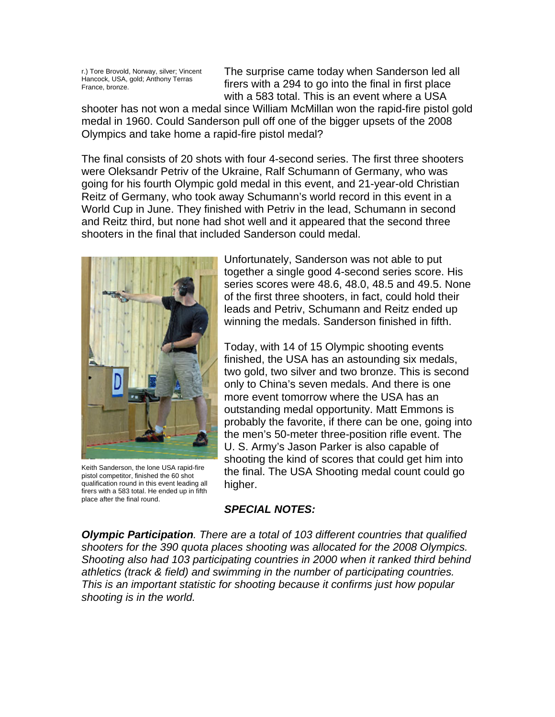r.) Tore Brovold, Norway, silver; Vincent Hancock, USA, gold; Anthony Terras France, bronze.

The surprise came today when Sanderson led all firers with a 294 to go into the final in first place with a 583 total. This is an event where a USA

shooter has not won a medal since William McMillan won the rapid-fire pistol gold medal in 1960. Could Sanderson pull off one of the bigger upsets of the 2008 Olympics and take home a rapid-fire pistol medal?

The final consists of 20 shots with four 4-second series. The first three shooters were Oleksandr Petriv of the Ukraine, Ralf Schumann of Germany, who was going for his fourth Olympic gold medal in this event, and 21-year-old Christian Reitz of Germany, who took away Schumann's world record in this event in a World Cup in June. They finished with Petriv in the lead, Schumann in second and Reitz third, but none had shot well and it appeared that the second three shooters in the final that included Sanderson could medal.



Keith Sanderson, the lone USA rapid-fire pistol competitor, finished the 60 shot qualification round in this event leading all firers with a 583 total. He ended up in fifth place after the final round.

Unfortunately, Sanderson was not able to put together a single good 4-second series score. His series scores were 48.6, 48.0, 48.5 and 49.5. None of the first three shooters, in fact, could hold their leads and Petriv, Schumann and Reitz ended up winning the medals. Sanderson finished in fifth.

Today, with 14 of 15 Olympic shooting events finished, the USA has an astounding six medals, two gold, two silver and two bronze. This is second only to China's seven medals. And there is one more event tomorrow where the USA has an outstanding medal opportunity. Matt Emmons is probably the favorite, if there can be one, going into the men's 50-meter three-position rifle event. The U. S. Army's Jason Parker is also capable of shooting the kind of scores that could get him into the final. The USA Shooting medal count could go higher.

#### *SPECIAL NOTES:*

*Olympic Participation. There are a total of 103 different countries that qualified shooters for the 390 quota places shooting was allocated for the 2008 Olympics. Shooting also had 103 participating countries in 2000 when it ranked third behind athletics (track & field) and swimming in the number of participating countries. This is an important statistic for shooting because it confirms just how popular shooting is in the world.*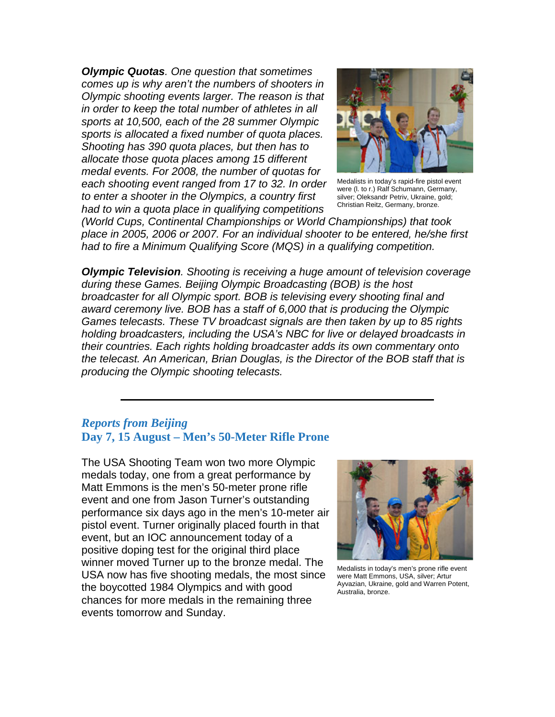*Olympic Quotas. One question that sometimes comes up is why aren't the numbers of shooters in Olympic shooting events larger. The reason is that in order to keep the total number of athletes in all sports at 10,500, each of the 28 summer Olympic sports is allocated a fixed number of quota places. Shooting has 390 quota places, but then has to allocate those quota places among 15 different medal events. For 2008, the number of quotas for each shooting event ranged from 17 to 32. In order to enter a shooter in the Olympics, a country first had to win a quota place in qualifying competitions* 



Medalists in today's rapid-fire pistol event were (l. to r.) Ralf Schumann, Germany, silver; Oleksandr Petriv, Ukraine, gold; Christian Reitz, Germany, bronze.

*(World Cups, Continental Championships or World Championships) that took place in 2005, 2006 or 2007. For an individual shooter to be entered, he/she first had to fire a Minimum Qualifying Score (MQS) in a qualifying competition.*

*Olympic Television. Shooting is receiving a huge amount of television coverage during these Games. Beijing Olympic Broadcasting (BOB) is the host broadcaster for all Olympic sport. BOB is televising every shooting final and award ceremony live. BOB has a staff of 6,000 that is producing the Olympic Games telecasts. These TV broadcast signals are then taken by up to 85 rights holding broadcasters, including the USA's NBC for live or delayed broadcasts in their countries. Each rights holding broadcaster adds its own commentary onto the telecast. An American, Brian Douglas, is the Director of the BOB staff that is producing the Olympic shooting telecasts.*

#### *Reports from Beijing* **Day 7, 15 August – Men's 50-Meter Rifle Prone**

The USA Shooting Team won two more Olympic medals today, one from a great performance by Matt Emmons is the men's 50-meter prone rifle event and one from Jason Turner's outstanding performance six days ago in the men's 10-meter air pistol event. Turner originally placed fourth in that event, but an IOC announcement today of a positive doping test for the original third place winner moved Turner up to the bronze medal. The USA now has five shooting medals, the most since the boycotted 1984 Olympics and with good chances for more medals in the remaining three events tomorrow and Sunday.



Medalists in today's men's prone rifle event were Matt Emmons, USA, silver; Artur Ayvazian, Ukraine, gold and Warren Potent, Australia, bronze.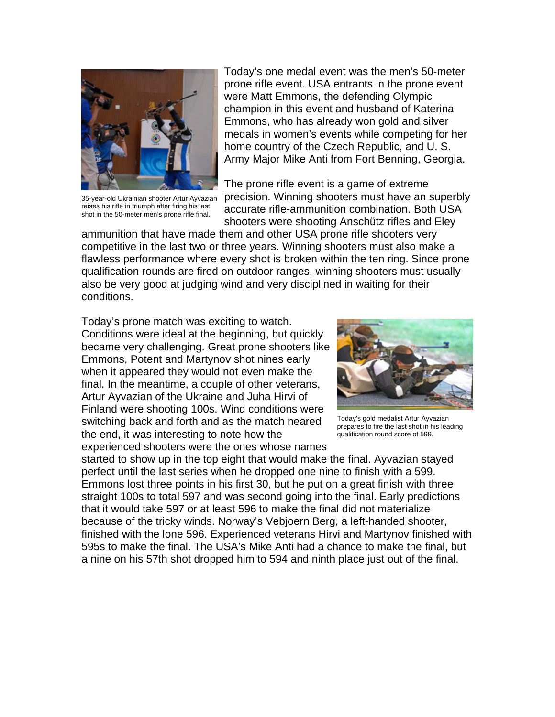

35-year-old Ukrainian shooter Artur Ayvazian raises his rifle in triumph after firing his last shot in the 50-meter men's prone rifle final.

Today's one medal event was the men's 50-meter prone rifle event. USA entrants in the prone event were Matt Emmons, the defending Olympic champion in this event and husband of Katerina Emmons, who has already won gold and silver medals in women's events while competing for her home country of the Czech Republic, and U. S. Army Major Mike Anti from Fort Benning, Georgia.

The prone rifle event is a game of extreme precision. Winning shooters must have an superbly accurate rifle-ammunition combination. Both USA shooters were shooting Anschütz rifles and Eley

ammunition that have made them and other USA prone rifle shooters very competitive in the last two or three years. Winning shooters must also make a flawless performance where every shot is broken within the ten ring. Since prone qualification rounds are fired on outdoor ranges, winning shooters must usually also be very good at judging wind and very disciplined in waiting for their conditions.

Today's prone match was exciting to watch. Conditions were ideal at the beginning, but quickly became very challenging. Great prone shooters like Emmons, Potent and Martynov shot nines early when it appeared they would not even make the final. In the meantime, a couple of other veterans, Artur Ayvazian of the Ukraine and Juha Hirvi of Finland were shooting 100s. Wind conditions were switching back and forth and as the match neared the end, it was interesting to note how the experienced shooters were the ones whose names



Today's gold medalist Artur Ayvazian prepares to fire the last shot in his leading qualification round score of 599.

started to show up in the top eight that would make the final. Ayvazian stayed perfect until the last series when he dropped one nine to finish with a 599. Emmons lost three points in his first 30, but he put on a great finish with three straight 100s to total 597 and was second going into the final. Early predictions that it would take 597 or at least 596 to make the final did not materialize because of the tricky winds. Norway's Vebjoern Berg, a left-handed shooter, finished with the lone 596. Experienced veterans Hirvi and Martynov finished with 595s to make the final. The USA's Mike Anti had a chance to make the final, but a nine on his 57th shot dropped him to 594 and ninth place just out of the final.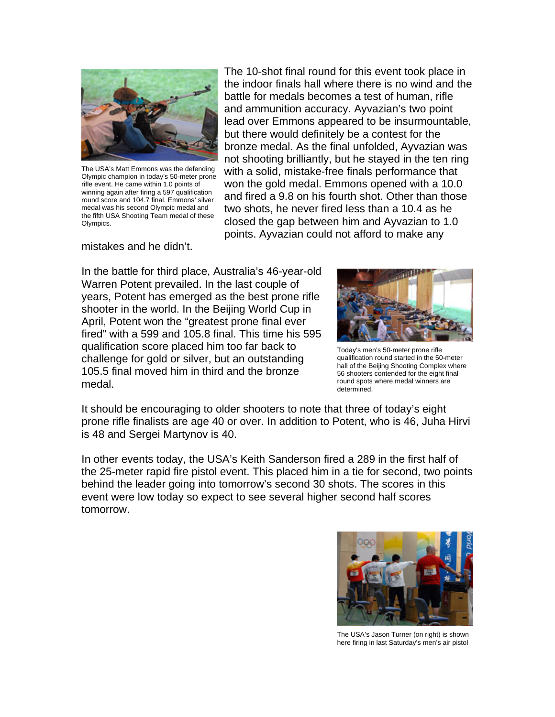

The USA's Matt Emmons was the defending Olympic champion in today's 50-meter prone rifle event. He came within 1.0 points of winning again after firing a 597 qualification round score and 104.7 final. Emmons' silver medal was his second Olympic medal and the fifth USA Shooting Team medal of these Olympics.

mistakes and he didn't.

The 10-shot final round for this event took place in the indoor finals hall where there is no wind and the battle for medals becomes a test of human, rifle and ammunition accuracy. Ayvazian's two point lead over Emmons appeared to be insurmountable, but there would definitely be a contest for the bronze medal. As the final unfolded, Ayvazian was not shooting brilliantly, but he stayed in the ten ring with a solid, mistake-free finals performance that won the gold medal. Emmons opened with a 10.0 and fired a 9.8 on his fourth shot. Other than those two shots, he never fired less than a 10.4 as he closed the gap between him and Ayvazian to 1.0 points. Ayvazian could not afford to make any

In the battle for third place, Australia's 46-year-old Warren Potent prevailed. In the last couple of years, Potent has emerged as the best prone rifle shooter in the world. In the Beijing World Cup in April, Potent won the "greatest prone final ever fired" with a 599 and 105.8 final. This time his 595 qualification score placed him too far back to challenge for gold or silver, but an outstanding 105.5 final moved him in third and the bronze medal.



Today's men's 50-meter prone rifle qualification round started in the 50-meter hall of the Beijing Shooting Complex where 56 shooters contended for the eight final round spots where medal winners are determined.

It should be encouraging to older shooters to note that three of today's eight prone rifle finalists are age 40 or over. In addition to Potent, who is 46, Juha Hirvi is 48 and Sergei Martynov is 40.

In other events today, the USA's Keith Sanderson fired a 289 in the first half of the 25-meter rapid fire pistol event. This placed him in a tie for second, two points behind the leader going into tomorrow's second 30 shots. The scores in this event were low today so expect to see several higher second half scores tomorrow.



The USA's Jason Turner (on right) is shown here firing in last Saturday's men's air pistol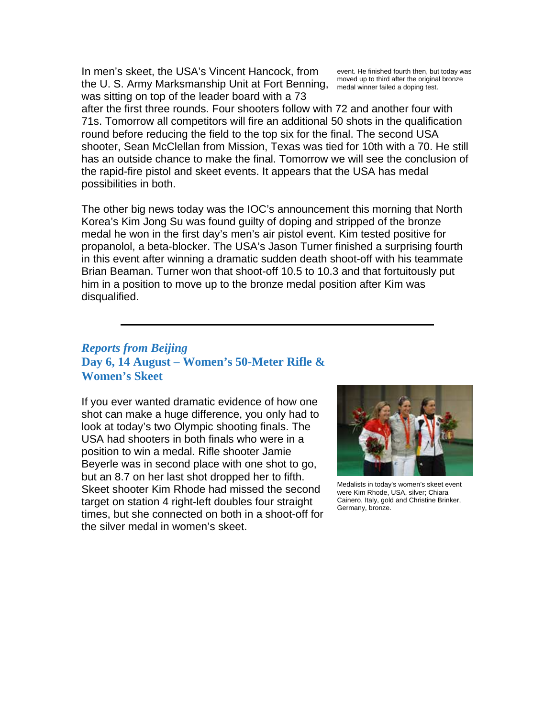In men's skeet, the USA's Vincent Hancock, from the U. S. Army Marksmanship Unit at Fort Benning, moved up to thild aller the original was sitting on top of the leader board with a 73

event. He finished fourth then, but today was moved up to third after the original bronze

after the first three rounds. Four shooters follow with 72 and another four with 71s. Tomorrow all competitors will fire an additional 50 shots in the qualification round before reducing the field to the top six for the final. The second USA shooter, Sean McClellan from Mission, Texas was tied for 10th with a 70. He still has an outside chance to make the final. Tomorrow we will see the conclusion of the rapid-fire pistol and skeet events. It appears that the USA has medal possibilities in both.

The other big news today was the IOC's announcement this morning that North Korea's Kim Jong Su was found guilty of doping and stripped of the bronze medal he won in the first day's men's air pistol event. Kim tested positive for propanolol, a beta-blocker. The USA's Jason Turner finished a surprising fourth in this event after winning a dramatic sudden death shoot-off with his teammate Brian Beaman. Turner won that shoot-off 10.5 to 10.3 and that fortuitously put him in a position to move up to the bronze medal position after Kim was disqualified.

## *Reports from Beijing* **Day 6, 14 August – Women's 50-Meter Rifle & Women's Skeet**

If you ever wanted dramatic evidence of how one shot can make a huge difference, you only had to look at today's two Olympic shooting finals. The USA had shooters in both finals who were in a position to win a medal. Rifle shooter Jamie Beyerle was in second place with one shot to go, but an 8.7 on her last shot dropped her to fifth. Skeet shooter Kim Rhode had missed the second target on station 4 right-left doubles four straight times, but she connected on both in a shoot-off for the silver medal in women's skeet.



Medalists in today's women's skeet event were Kim Rhode, USA, silver; Chiara Cainero, Italy, gold and Christine Brinker, Germany, bronze.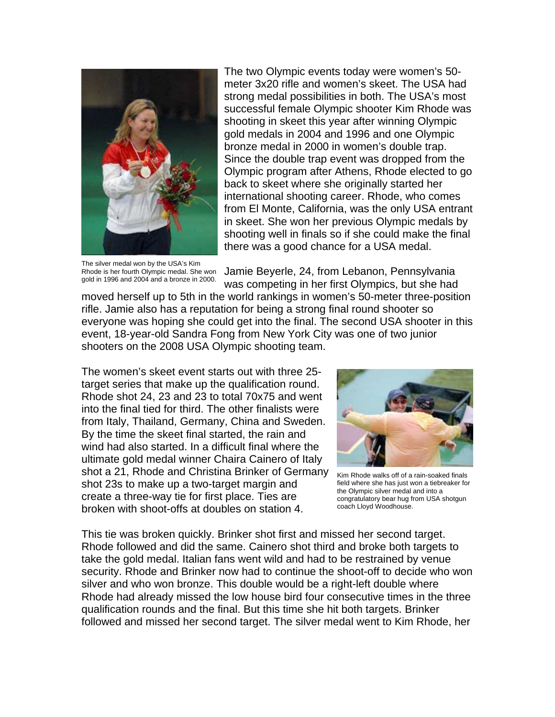

The silver medal won by the USA's Kim Rhode is her fourth Olympic medal. She won gold in 1996 and 2004 and a bronze in 2000.

The two Olympic events today were women's 50 meter 3x20 rifle and women's skeet. The USA had strong medal possibilities in both. The USA's most successful female Olympic shooter Kim Rhode was shooting in skeet this year after winning Olympic gold medals in 2004 and 1996 and one Olympic bronze medal in 2000 in women's double trap. Since the double trap event was dropped from the Olympic program after Athens, Rhode elected to go back to skeet where she originally started her international shooting career. Rhode, who comes from El Monte, California, was the only USA entrant in skeet. She won her previous Olympic medals by shooting well in finals so if she could make the final there was a good chance for a USA medal.

Jamie Beyerle, 24, from Lebanon, Pennsylvania was competing in her first Olympics, but she had

moved herself up to 5th in the world rankings in women's 50-meter three-position rifle. Jamie also has a reputation for being a strong final round shooter so everyone was hoping she could get into the final. The second USA shooter in this event, 18-year-old Sandra Fong from New York City was one of two junior shooters on the 2008 USA Olympic shooting team.

The women's skeet event starts out with three 25 target series that make up the qualification round. Rhode shot 24, 23 and 23 to total 70x75 and went into the final tied for third. The other finalists were from Italy, Thailand, Germany, China and Sweden. By the time the skeet final started, the rain and wind had also started. In a difficult final where the ultimate gold medal winner Chaira Cainero of Italy shot a 21, Rhode and Christina Brinker of Germany shot 23s to make up a two-target margin and create a three-way tie for first place. Ties are broken with shoot-offs at doubles on station 4.



Kim Rhode walks off of a rain-soaked finals field where she has just won a tiebreaker for the Olympic silver medal and into a congratulatory bear hug from USA shotgun coach Lloyd Woodhouse.

This tie was broken quickly. Brinker shot first and missed her second target. Rhode followed and did the same. Cainero shot third and broke both targets to take the gold medal. Italian fans went wild and had to be restrained by venue security. Rhode and Brinker now had to continue the shoot-off to decide who won silver and who won bronze. This double would be a right-left double where Rhode had already missed the low house bird four consecutive times in the three qualification rounds and the final. But this time she hit both targets. Brinker followed and missed her second target. The silver medal went to Kim Rhode, her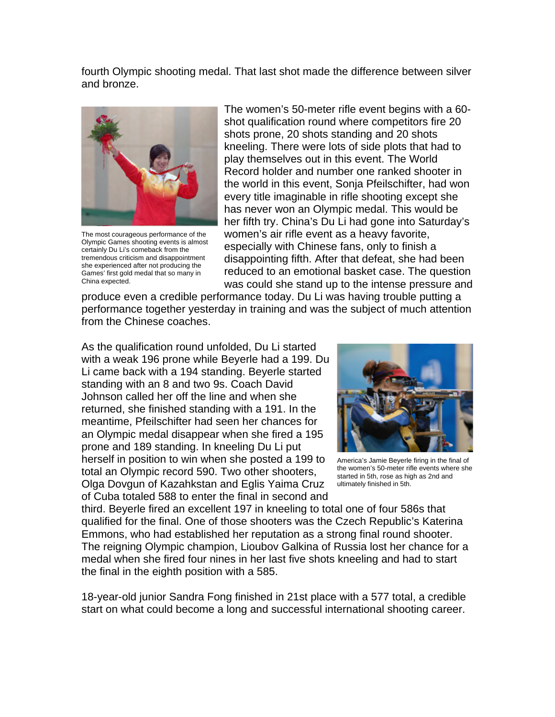fourth Olympic shooting medal. That last shot made the difference between silver and bronze.



The most courageous performance of the Olympic Games shooting events is almost certainly Du Li's comeback from the tremendous criticism and disappointment she experienced after not producing the Games' first gold medal that so many in China expected.

The women's 50-meter rifle event begins with a 60 shot qualification round where competitors fire 20 shots prone, 20 shots standing and 20 shots kneeling. There were lots of side plots that had to play themselves out in this event. The World Record holder and number one ranked shooter in the world in this event, Sonja Pfeilschifter, had won every title imaginable in rifle shooting except she has never won an Olympic medal. This would be her fifth try. China's Du Li had gone into Saturday's women's air rifle event as a heavy favorite, especially with Chinese fans, only to finish a disappointing fifth. After that defeat, she had been reduced to an emotional basket case. The question was could she stand up to the intense pressure and

produce even a credible performance today. Du Li was having trouble putting a performance together yesterday in training and was the subject of much attention from the Chinese coaches.

As the qualification round unfolded, Du Li started with a weak 196 prone while Beyerle had a 199. Du Li came back with a 194 standing. Beyerle started standing with an 8 and two 9s. Coach David Johnson called her off the line and when she returned, she finished standing with a 191. In the meantime, Pfeilschifter had seen her chances for an Olympic medal disappear when she fired a 195 prone and 189 standing. In kneeling Du Li put herself in position to win when she posted a 199 to total an Olympic record 590. Two other shooters, Olga Dovgun of Kazahkstan and Eglis Yaima Cruz of Cuba totaled 588 to enter the final in second and



America's Jamie Beyerle firing in the final of the women's 50-meter rifle events where she started in 5th, rose as high as 2nd and ultimately finished in 5th.

third. Beyerle fired an excellent 197 in kneeling to total one of four 586s that qualified for the final. One of those shooters was the Czech Republic's Katerina Emmons, who had established her reputation as a strong final round shooter. The reigning Olympic champion, Lioubov Galkina of Russia lost her chance for a medal when she fired four nines in her last five shots kneeling and had to start the final in the eighth position with a 585.

18-year-old junior Sandra Fong finished in 21st place with a 577 total, a credible start on what could become a long and successful international shooting career.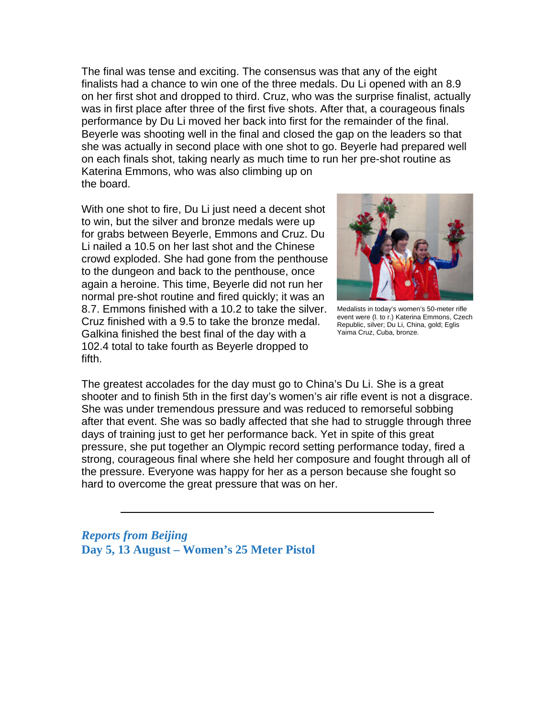The final was tense and exciting. The consensus was that any of the eight finalists had a chance to win one of the three medals. Du Li opened with an 8.9 on her first shot and dropped to third. Cruz, who was the surprise finalist, actually was in first place after three of the first five shots. After that, a courageous finals performance by Du Li moved her back into first for the remainder of the final. Beyerle was shooting well in the final and closed the gap on the leaders so that she was actually in second place with one shot to go. Beyerle had prepared well on each finals shot, taking nearly as much time to run her pre-shot routine as Katerina Emmons, who was also climbing up on the board.

With one shot to fire, Du Li just need a decent shot to win, but the silver and bronze medals were up for grabs between Beyerle, Emmons and Cruz. Du Li nailed a 10.5 on her last shot and the Chinese crowd exploded. She had gone from the penthouse to the dungeon and back to the penthouse, once again a heroine. This time, Beyerle did not run her normal pre-shot routine and fired quickly; it was an 8.7. Emmons finished with a 10.2 to take the silver. Cruz finished with a 9.5 to take the bronze medal. Galkina finished the best final of the day with a 102.4 total to take fourth as Beyerle dropped to fifth.



Medalists in today's women's 50-meter rifle event were (l. to r.) Katerina Emmons, Czech Republic, silver; Du Li, China, gold; Eglis Yaima Cruz, Cuba, bronze.

The greatest accolades for the day must go to China's Du Li. She is a great shooter and to finish 5th in the first day's women's air rifle event is not a disgrace. She was under tremendous pressure and was reduced to remorseful sobbing after that event. She was so badly affected that she had to struggle through three days of training just to get her performance back. Yet in spite of this great pressure, she put together an Olympic record setting performance today, fired a strong, courageous final where she held her composure and fought through all of the pressure. Everyone was happy for her as a person because she fought so hard to overcome the great pressure that was on her.

*Reports from Beijing* **Day 5, 13 August – Women's 25 Meter Pistol**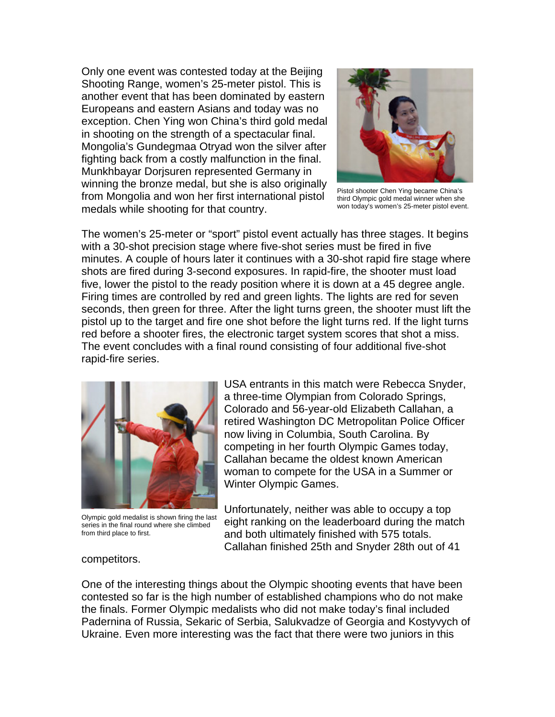Only one event was contested today at the Beijing Shooting Range, women's 25-meter pistol. This is another event that has been dominated by eastern Europeans and eastern Asians and today was no exception. Chen Ying won China's third gold medal in shooting on the strength of a spectacular final. Mongolia's Gundegmaa Otryad won the silver after fighting back from a costly malfunction in the final. Munkhbayar Dorjsuren represented Germany in winning the bronze medal, but she is also originally from Mongolia and won her first international pistol medals while shooting for that country.



Pistol shooter Chen Ying became China's third Olympic gold medal winner when she won today's women's 25-meter pistol event.

The women's 25-meter or "sport" pistol event actually has three stages. It begins with a 30-shot precision stage where five-shot series must be fired in five minutes. A couple of hours later it continues with a 30-shot rapid fire stage where shots are fired during 3-second exposures. In rapid-fire, the shooter must load five, lower the pistol to the ready position where it is down at a 45 degree angle. Firing times are controlled by red and green lights. The lights are red for seven seconds, then green for three. After the light turns green, the shooter must lift the pistol up to the target and fire one shot before the light turns red. If the light turns red before a shooter fires, the electronic target system scores that shot a miss. The event concludes with a final round consisting of four additional five-shot rapid-fire series.



Olympic gold medalist is shown firing the last series in the final round where she climbed from third place to first.

USA entrants in this match were Rebecca Snyder, a three-time Olympian from Colorado Springs, Colorado and 56-year-old Elizabeth Callahan, a retired Washington DC Metropolitan Police Officer now living in Columbia, South Carolina. By competing in her fourth Olympic Games today, Callahan became the oldest known American woman to compete for the USA in a Summer or Winter Olympic Games.

Unfortunately, neither was able to occupy a top eight ranking on the leaderboard during the match and both ultimately finished with 575 totals. Callahan finished 25th and Snyder 28th out of 41

#### competitors.

One of the interesting things about the Olympic shooting events that have been contested so far is the high number of established champions who do not make the finals. Former Olympic medalists who did not make today's final included Padernina of Russia, Sekaric of Serbia, Salukvadze of Georgia and Kostyvych of Ukraine. Even more interesting was the fact that there were two juniors in this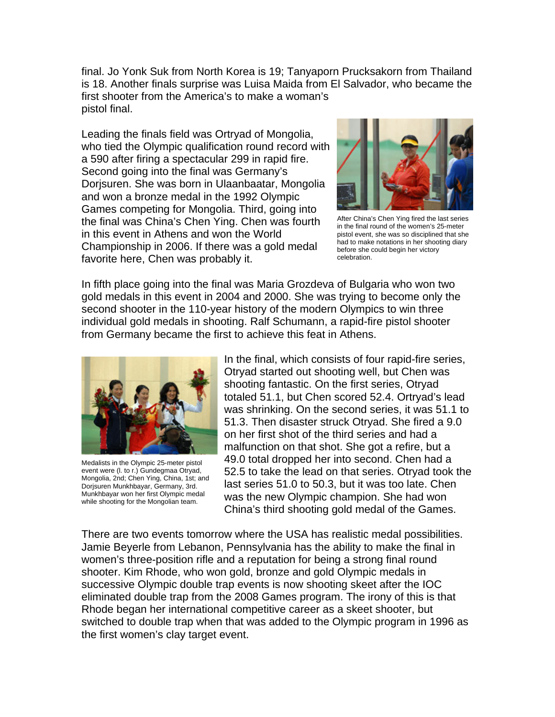final. Jo Yonk Suk from North Korea is 19; Tanyaporn Prucksakorn from Thailand is 18. Another finals surprise was Luisa Maida from El Salvador, who became the first shooter from the America's to make a woman's pistol final.

Leading the finals field was Ortryad of Mongolia, who tied the Olympic qualification round record with a 590 after firing a spectacular 299 in rapid fire. Second going into the final was Germany's Dorjsuren. She was born in Ulaanbaatar, Mongolia and won a bronze medal in the 1992 Olympic Games competing for Mongolia. Third, going into the final was China's Chen Ying. Chen was fourth in this event in Athens and won the World Championship in 2006. If there was a gold medal favorite here, Chen was probably it.



After China's Chen Ying fired the last series in the final round of the women's 25-meter pistol event, she was so disciplined that she had to make notations in her shooting diary before she could begin her victory celebration.

In fifth place going into the final was Maria Grozdeva of Bulgaria who won two gold medals in this event in 2004 and 2000. She was trying to become only the second shooter in the 110-year history of the modern Olympics to win three individual gold medals in shooting. Ralf Schumann, a rapid-fire pistol shooter from Germany became the first to achieve this feat in Athens.



Medalists in the Olympic 25-meter pistol event were (l. to r.) Gundegmaa Otryad, Mongolia, 2nd; Chen Ying, China, 1st; and Dorjsuren Munkhbayar, Germany, 3rd. Munkhbayar won her first Olympic medal while shooting for the Mongolian team.

In the final, which consists of four rapid-fire series, Otryad started out shooting well, but Chen was shooting fantastic. On the first series, Otryad totaled 51.1, but Chen scored 52.4. Ortryad's lead was shrinking. On the second series, it was 51.1 to 51.3. Then disaster struck Otryad. She fired a 9.0 on her first shot of the third series and had a malfunction on that shot. She got a refire, but a 49.0 total dropped her into second. Chen had a 52.5 to take the lead on that series. Otryad took the last series 51.0 to 50.3, but it was too late. Chen was the new Olympic champion. She had won China's third shooting gold medal of the Games.

There are two events tomorrow where the USA has realistic medal possibilities. Jamie Beyerle from Lebanon, Pennsylvania has the ability to make the final in women's three-position rifle and a reputation for being a strong final round shooter. Kim Rhode, who won gold, bronze and gold Olympic medals in successive Olympic double trap events is now shooting skeet after the IOC eliminated double trap from the 2008 Games program. The irony of this is that Rhode began her international competitive career as a skeet shooter, but switched to double trap when that was added to the Olympic program in 1996 as the first women's clay target event.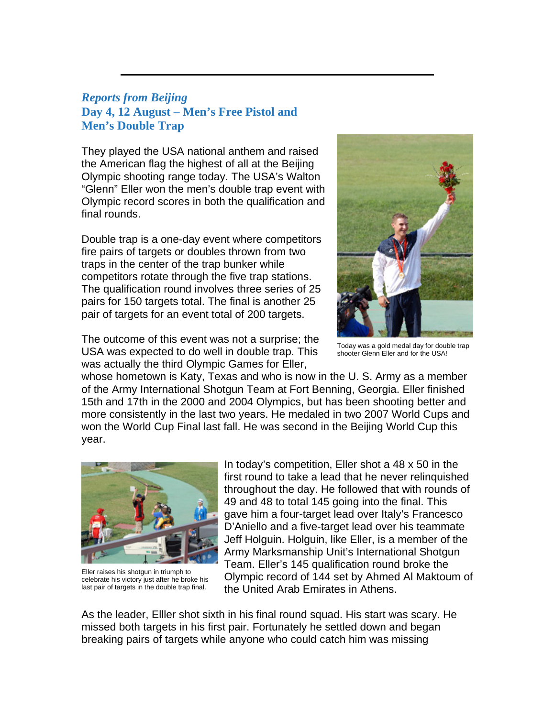## *Reports from Beijing*  **Day 4, 12 August – Men's Free Pistol and Men's Double Trap**

They played the USA national anthem and raised the American flag the highest of all at the Beijing Olympic shooting range today. The USA's Walton "Glenn" Eller won the men's double trap event with Olympic record scores in both the qualification and final rounds.

Double trap is a one-day event where competitors fire pairs of targets or doubles thrown from two traps in the center of the trap bunker while competitors rotate through the five trap stations. The qualification round involves three series of 25 pairs for 150 targets total. The final is another 25 pair of targets for an event total of 200 targets.

The outcome of this event was not a surprise; the USA was expected to do well in double trap. This was actually the third Olympic Games for Eller,



Today was a gold medal day for double trap shooter Glenn Eller and for the USA!

whose hometown is Katy, Texas and who is now in the U. S. Army as a member of the Army International Shotgun Team at Fort Benning, Georgia. Eller finished 15th and 17th in the 2000 and 2004 Olympics, but has been shooting better and more consistently in the last two years. He medaled in two 2007 World Cups and won the World Cup Final last fall. He was second in the Beijing World Cup this year.



Eller raises his shotgun in triumph to celebrate his victory just after he broke his last pair of targets in the double trap final.

In today's competition, Eller shot a 48 x 50 in the first round to take a lead that he never relinquished throughout the day. He followed that with rounds of 49 and 48 to total 145 going into the final. This gave him a four-target lead over Italy's Francesco D'Aniello and a five-target lead over his teammate Jeff Holguin. Holguin, like Eller, is a member of the Army Marksmanship Unit's International Shotgun Team. Eller's 145 qualification round broke the Olympic record of 144 set by Ahmed Al Maktoum of the United Arab Emirates in Athens.

As the leader, Elller shot sixth in his final round squad. His start was scary. He missed both targets in his first pair. Fortunately he settled down and began breaking pairs of targets while anyone who could catch him was missing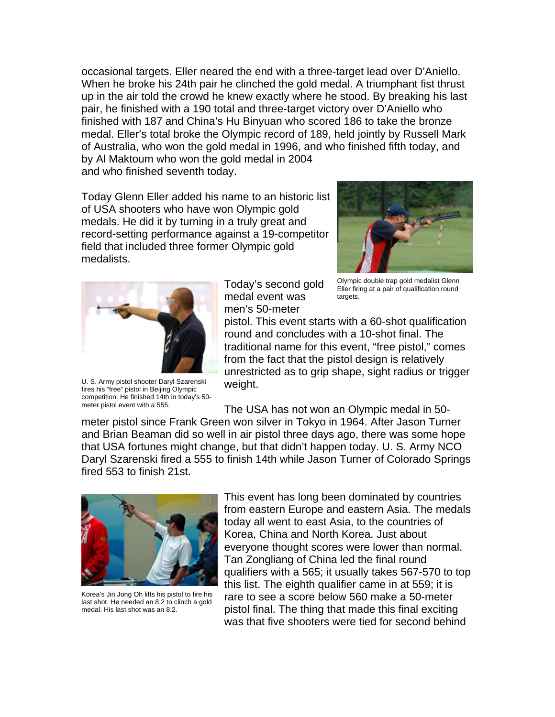occasional targets. Eller neared the end with a three-target lead over D'Aniello. When he broke his 24th pair he clinched the gold medal. A triumphant fist thrust up in the air told the crowd he knew exactly where he stood. By breaking his last pair, he finished with a 190 total and three-target victory over D'Aniello who finished with 187 and China's Hu Binyuan who scored 186 to take the bronze medal. Eller's total broke the Olympic record of 189, held jointly by Russell Mark of Australia, who won the gold medal in 1996, and who finished fifth today, and by Al Maktoum who won the gold medal in 2004 and who finished seventh today.

Today Glenn Eller added his name to an historic list of USA shooters who have won Olympic gold medals. He did it by turning in a truly great and record-setting performance against a 19-competitor field that included three former Olympic gold medalists.





U. S. Army pistol shooter Daryl Szarenski fires his "free" pistol in Beijing Olympic competition. He finished 14th in today's 50 meter pistol event with a 555.

Today's second gold medal event was men's 50-meter

Olympic double trap gold medalist Glenn Eller firing at a pair of qualification round targets.

pistol. This event starts with a 60-shot qualification round and concludes with a 10-shot final. The traditional name for this event, "free pistol," comes from the fact that the pistol design is relatively unrestricted as to grip shape, sight radius or trigger weight.

The USA has not won an Olympic medal in 50 meter pistol since Frank Green won silver in Tokyo in 1964. After Jason Turner and Brian Beaman did so well in air pistol three days ago, there was some hope that USA fortunes might change, but that didn't happen today. U. S. Army NCO Daryl Szarenski fired a 555 to finish 14th while Jason Turner of Colorado Springs fired 553 to finish 21st.



Korea's Jin Jong Oh lifts his pistol to fire his last shot. He needed an 8.2 to clinch a gold medal. His last shot was an 8.2.

This event has long been dominated by countries from eastern Europe and eastern Asia. The medals today all went to east Asia, to the countries of Korea, China and North Korea. Just about everyone thought scores were lower than normal. Tan Zongliang of China led the final round qualifiers with a 565; it usually takes 567-570 to top this list. The eighth qualifier came in at 559; it is rare to see a score below 560 make a 50-meter pistol final. The thing that made this final exciting was that five shooters were tied for second behind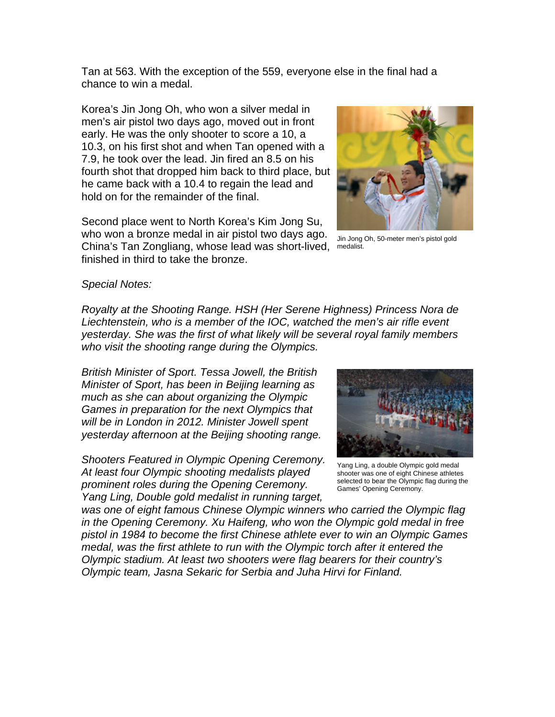Tan at 563. With the exception of the 559, everyone else in the final had a chance to win a medal.

Korea's Jin Jong Oh, who won a silver medal in men's air pistol two days ago, moved out in front early. He was the only shooter to score a 10, a 10.3, on his first shot and when Tan opened with a 7.9, he took over the lead. Jin fired an 8.5 on his fourth shot that dropped him back to third place, but he came back with a 10.4 to regain the lead and hold on for the remainder of the final.

Second place went to North Korea's Kim Jong Su, who won a bronze medal in air pistol two days ago. China's Tan Zongliang, whose lead was short-lived, medalist.

finished in third to take the bronze.



Jin Jong Oh, 50-meter men's pistol gold

*Special Notes:* 

*Royalty at the Shooting Range. HSH (Her Serene Highness) Princess Nora de Liechtenstein, who is a member of the IOC, watched the men's air rifle event yesterday. She was the first of what likely will be several royal family members who visit the shooting range during the Olympics.*

*British Minister of Sport. Tessa Jowell, the British Minister of Sport, has been in Beijing learning as much as she can about organizing the Olympic Games in preparation for the next Olympics that will be in London in 2012. Minister Jowell spent yesterday afternoon at the Beijing shooting range.*

*Shooters Featured in Olympic Opening Ceremony. At least four Olympic shooting medalists played prominent roles during the Opening Ceremony. Yang Ling, Double gold medalist in running target,* 



Yang Ling, a double Olympic gold medal shooter was one of eight Chinese athletes selected to bear the Olympic flag during the Games' Opening Ceremony.

*was one of eight famous Chinese Olympic winners who carried the Olympic flag in the Opening Ceremony. Xu Haifeng, who won the Olympic gold medal in free pistol in 1984 to become the first Chinese athlete ever to win an Olympic Games medal, was the first athlete to run with the Olympic torch after it entered the Olympic stadium. At least two shooters were flag bearers for their country's Olympic team, Jasna Sekaric for Serbia and Juha Hirvi for Finland.*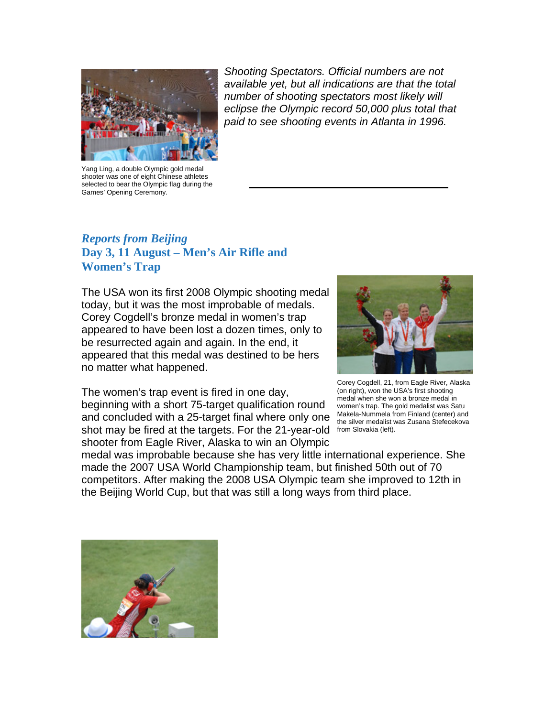

Yang Ling, a double Olympic gold medal shooter was one of eight Chinese athletes selected to bear the Olympic flag during the Games' Opening Ceremony.

*Shooting Spectators. Official numbers are not available yet, but all indications are that the total number of shooting spectators most likely will eclipse the Olympic record 50,000 plus total that paid to see shooting events in Atlanta in 1996.*

# *Reports from Beijing*  **Day 3, 11 August – Men's Air Rifle and Women's Trap**

The USA won its first 2008 Olympic shooting medal today, but it was the most improbable of medals. Corey Cogdell's bronze medal in women's trap appeared to have been lost a dozen times, only to be resurrected again and again. In the end, it appeared that this medal was destined to be hers no matter what happened.



The women's trap event is fired in one day, beginning with a short 75-target qualification round and concluded with a 25-target final where only one shot may be fired at the targets. For the 21-year-old from Slovakia (left). shooter from Eagle River, Alaska to win an Olympic

Corey Cogdell, 21, from Eagle River, Alaska (on right), won the USA's first shooting medal when she won a bronze medal in women's trap. The gold medalist was Satu Makela-Nummela from Finland (center) and the silver medalist was Zusana Stefecekova

medal was improbable because she has very little international experience. She made the 2007 USA World Championship team, but finished 50th out of 70 competitors. After making the 2008 USA Olympic team she improved to 12th in the Beijing World Cup, but that was still a long ways from third place.

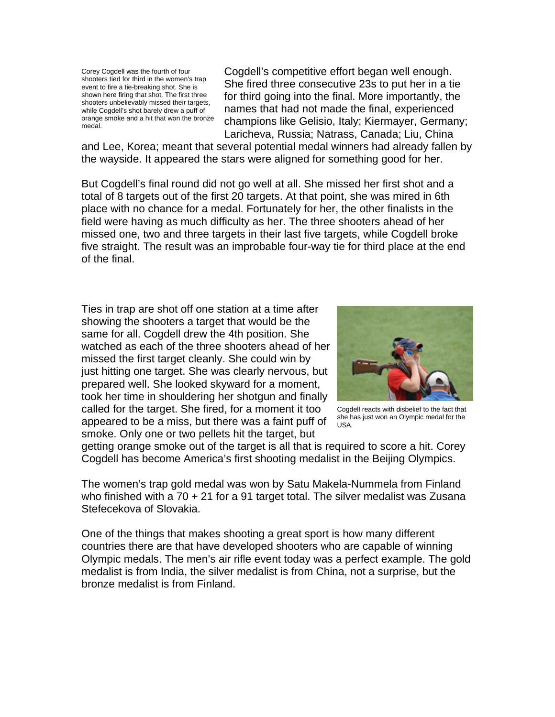Corey Cogdell was the fourth of four shooters tied for third in the women's trap event to fire a tie-breaking shot. She is shown here firing that shot. The first three shooters unbelievably missed their targets, while Cogdell's shot barely drew a puff of orange smoke and a hit that won the bronze medal.

Cogdell's competitive effort began well enough. She fired three consecutive 23s to put her in a tie for third going into the final. More importantly, the names that had not made the final, experienced champions like Gelisio, Italy; Kiermayer, Germany; Laricheva, Russia; Natrass, Canada; Liu, China

and Lee, Korea; meant that several potential medal winners had already fallen by the wayside. It appeared the stars were aligned for something good for her.

But Cogdell's final round did not go well at all. She missed her first shot and a total of 8 targets out of the first 20 targets. At that point, she was mired in 6th place with no chance for a medal. Fortunately for her, the other finalists in the field were having as much difficulty as her. The three shooters ahead of her missed one, two and three targets in their last five targets, while Cogdell broke five straight. The result was an improbable four-way tie for third place at the end of the final.

Ties in trap are shot off one station at a time after showing the shooters a target that would be the same for all. Cogdell drew the 4th position. She watched as each of the three shooters ahead of her missed the first target cleanly. She could win by just hitting one target. She was clearly nervous, but prepared well. She looked skyward for a moment, took her time in shouldering her shotgun and finally called for the target. She fired, for a moment it too appeared to be a miss, but there was a faint puff of smoke. Only one or two pellets hit the target, but



Cogdell reacts with disbelief to the fact that she has just won an Olympic medal for the USA.

getting orange smoke out of the target is all that is required to score a hit. Corey Cogdell has become America's first shooting medalist in the Beijing Olympics.

The women's trap gold medal was won by Satu Makela-Nummela from Finland who finished with a 70 + 21 for a 91 target total. The silver medalist was Zusana Stefecekova of Slovakia.

One of the things that makes shooting a great sport is how many different countries there are that have developed shooters who are capable of winning Olympic medals. The men's air rifle event today was a perfect example. The gold medalist is from India, the silver medalist is from China, not a surprise, but the bronze medalist is from Finland.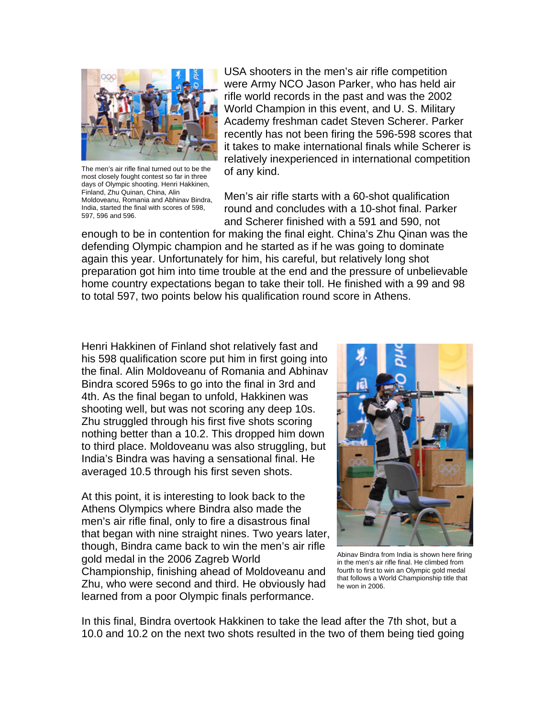

The men's air rifle final turned out to be the most closely fought contest so far in three days of Olympic shooting. Henri Hakkinen, Finland, Zhu Quinan, China, Alin Moldoveanu, Romania and Abhinav Bindra, India, started the final with scores of 598, 597, 596 and 596.

USA shooters in the men's air rifle competition were Army NCO Jason Parker, who has held air rifle world records in the past and was the 2002 World Champion in this event, and U. S. Military Academy freshman cadet Steven Scherer. Parker recently has not been firing the 596-598 scores that it takes to make international finals while Scherer is relatively inexperienced in international competition of any kind.

Men's air rifle starts with a 60-shot qualification round and concludes with a 10-shot final. Parker and Scherer finished with a 591 and 590, not

enough to be in contention for making the final eight. China's Zhu Qinan was the defending Olympic champion and he started as if he was going to dominate again this year. Unfortunately for him, his careful, but relatively long shot preparation got him into time trouble at the end and the pressure of unbelievable home country expectations began to take their toll. He finished with a 99 and 98 to total 597, two points below his qualification round score in Athens.

Henri Hakkinen of Finland shot relatively fast and his 598 qualification score put him in first going into the final. Alin Moldoveanu of Romania and Abhinav Bindra scored 596s to go into the final in 3rd and 4th. As the final began to unfold, Hakkinen was shooting well, but was not scoring any deep 10s. Zhu struggled through his first five shots scoring nothing better than a 10.2. This dropped him down to third place. Moldoveanu was also struggling, but India's Bindra was having a sensational final. He averaged 10.5 through his first seven shots.

At this point, it is interesting to look back to the Athens Olympics where Bindra also made the men's air rifle final, only to fire a disastrous final that began with nine straight nines. Two years later, though, Bindra came back to win the men's air rifle gold medal in the 2006 Zagreb World Championship, finishing ahead of Moldoveanu and Zhu, who were second and third. He obviously had learned from a poor Olympic finals performance.



Abinav Bindra from India is shown here firing in the men's air rifle final. He climbed from fourth to first to win an Olympic gold medal that follows a World Championship title that he won in 2006.

In this final, Bindra overtook Hakkinen to take the lead after the 7th shot, but a 10.0 and 10.2 on the next two shots resulted in the two of them being tied going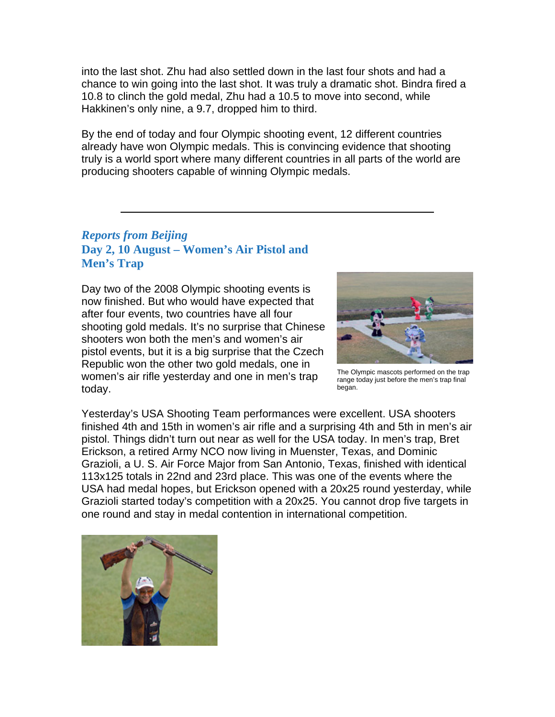into the last shot. Zhu had also settled down in the last four shots and had a chance to win going into the last shot. It was truly a dramatic shot. Bindra fired a 10.8 to clinch the gold medal, Zhu had a 10.5 to move into second, while Hakkinen's only nine, a 9.7, dropped him to third.

By the end of today and four Olympic shooting event, 12 different countries already have won Olympic medals. This is convincing evidence that shooting truly is a world sport where many different countries in all parts of the world are producing shooters capable of winning Olympic medals.

# *Reports from Beijing* **Day 2, 10 August – Women's Air Pistol and Men's Trap**

Day two of the 2008 Olympic shooting events is now finished. But who would have expected that after four events, two countries have all four shooting gold medals. It's no surprise that Chinese shooters won both the men's and women's air pistol events, but it is a big surprise that the Czech Republic won the other two gold medals, one in women's air rifle yesterday and one in men's trap today.



The Olympic mascots performed on the trap range today just before the men's trap final began.

Yesterday's USA Shooting Team performances were excellent. USA shooters finished 4th and 15th in women's air rifle and a surprising 4th and 5th in men's air pistol. Things didn't turn out near as well for the USA today. In men's trap, Bret Erickson, a retired Army NCO now living in Muenster, Texas, and Dominic Grazioli, a U. S. Air Force Major from San Antonio, Texas, finished with identical 113x125 totals in 22nd and 23rd place. This was one of the events where the USA had medal hopes, but Erickson opened with a 20x25 round yesterday, while Grazioli started today's competition with a 20x25. You cannot drop five targets in one round and stay in medal contention in international competition.

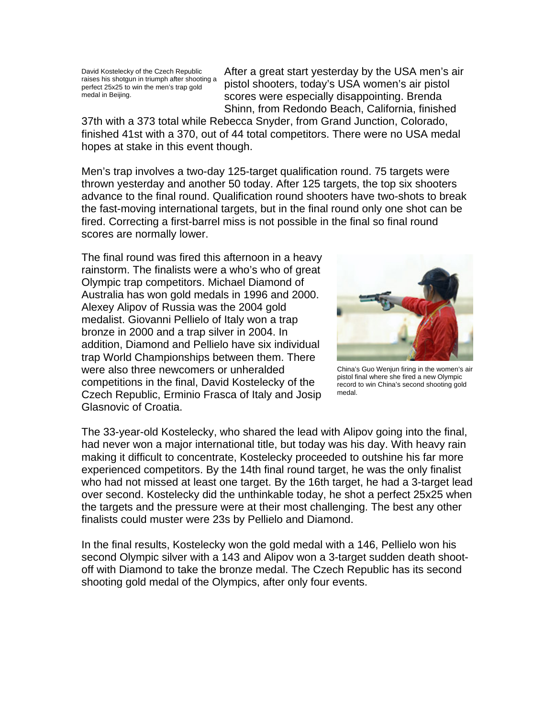David Kostelecky of the Czech Republic raises his shotgun in triumph after shooting a perfect 25x25 to win the men's trap gold medal in Beijing.

After a great start yesterday by the USA men's air pistol shooters, today's USA women's air pistol scores were especially disappointing. Brenda Shinn, from Redondo Beach, California, finished

37th with a 373 total while Rebecca Snyder, from Grand Junction, Colorado, finished 41st with a 370, out of 44 total competitors. There were no USA medal hopes at stake in this event though.

Men's trap involves a two-day 125-target qualification round. 75 targets were thrown yesterday and another 50 today. After 125 targets, the top six shooters advance to the final round. Qualification round shooters have two-shots to break the fast-moving international targets, but in the final round only one shot can be fired. Correcting a first-barrel miss is not possible in the final so final round scores are normally lower.

The final round was fired this afternoon in a heavy rainstorm. The finalists were a who's who of great Olympic trap competitors. Michael Diamond of Australia has won gold medals in 1996 and 2000. Alexey Alipov of Russia was the 2004 gold medalist. Giovanni Pellielo of Italy won a trap bronze in 2000 and a trap silver in 2004. In addition, Diamond and Pellielo have six individual trap World Championships between them. There were also three newcomers or unheralded competitions in the final, David Kostelecky of the Czech Republic, Erminio Frasca of Italy and Josip Glasnovic of Croatia.



China's Guo Wenjun firing in the women's air pistol final where she fired a new Olympic record to win China's second shooting gold medal.

The 33-year-old Kostelecky, who shared the lead with Alipov going into the final, had never won a major international title, but today was his day. With heavy rain making it difficult to concentrate, Kostelecky proceeded to outshine his far more experienced competitors. By the 14th final round target, he was the only finalist who had not missed at least one target. By the 16th target, he had a 3-target lead over second. Kostelecky did the unthinkable today, he shot a perfect 25x25 when the targets and the pressure were at their most challenging. The best any other finalists could muster were 23s by Pellielo and Diamond.

In the final results, Kostelecky won the gold medal with a 146, Pellielo won his second Olympic silver with a 143 and Alipov won a 3-target sudden death shootoff with Diamond to take the bronze medal. The Czech Republic has its second shooting gold medal of the Olympics, after only four events.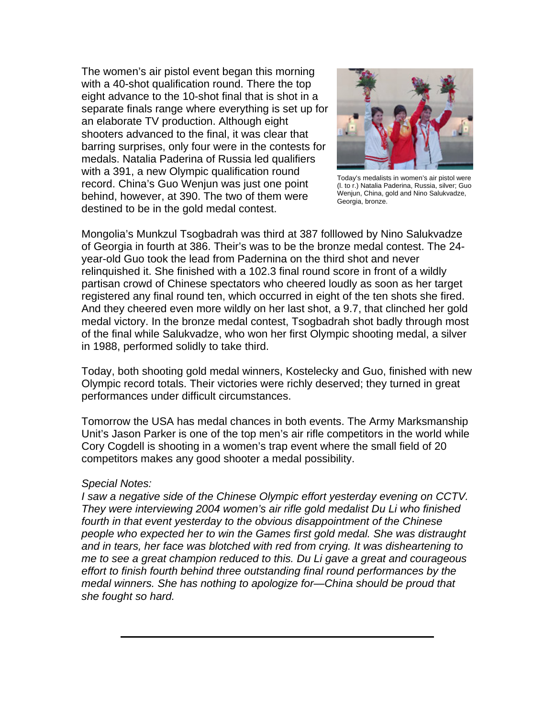The women's air pistol event began this morning with a 40-shot qualification round. There the top eight advance to the 10-shot final that is shot in a separate finals range where everything is set up for an elaborate TV production. Although eight shooters advanced to the final, it was clear that barring surprises, only four were in the contests for medals. Natalia Paderina of Russia led qualifiers with a 391, a new Olympic qualification round record. China's Guo Wenjun was just one point behind, however, at 390. The two of them were destined to be in the gold medal contest.



Today's medalists in women's air pistol were (l. to r.) Natalia Paderina, Russia, silver; Guo Wenjun, China, gold and Nino Salukvadze, Georgia, bronze.

Mongolia's Munkzul Tsogbadrah was third at 387 folllowed by Nino Salukvadze of Georgia in fourth at 386. Their's was to be the bronze medal contest. The 24 year-old Guo took the lead from Padernina on the third shot and never relinquished it. She finished with a 102.3 final round score in front of a wildly partisan crowd of Chinese spectators who cheered loudly as soon as her target registered any final round ten, which occurred in eight of the ten shots she fired. And they cheered even more wildly on her last shot, a 9.7, that clinched her gold medal victory. In the bronze medal contest, Tsogbadrah shot badly through most of the final while Salukvadze, who won her first Olympic shooting medal, a silver in 1988, performed solidly to take third.

Today, both shooting gold medal winners, Kostelecky and Guo, finished with new Olympic record totals. Their victories were richly deserved; they turned in great performances under difficult circumstances.

Tomorrow the USA has medal chances in both events. The Army Marksmanship Unit's Jason Parker is one of the top men's air rifle competitors in the world while Cory Cogdell is shooting in a women's trap event where the small field of 20 competitors makes any good shooter a medal possibility.

#### *Special Notes:*

*I saw a negative side of the Chinese Olympic effort yesterday evening on CCTV. They were interviewing 2004 women's air rifle gold medalist Du Li who finished fourth in that event yesterday to the obvious disappointment of the Chinese people who expected her to win the Games first gold medal. She was distraught and in tears, her face was blotched with red from crying. It was disheartening to me to see a great champion reduced to this. Du Li gave a great and courageous effort to finish fourth behind three outstanding final round performances by the medal winners. She has nothing to apologize for—China should be proud that she fought so hard.*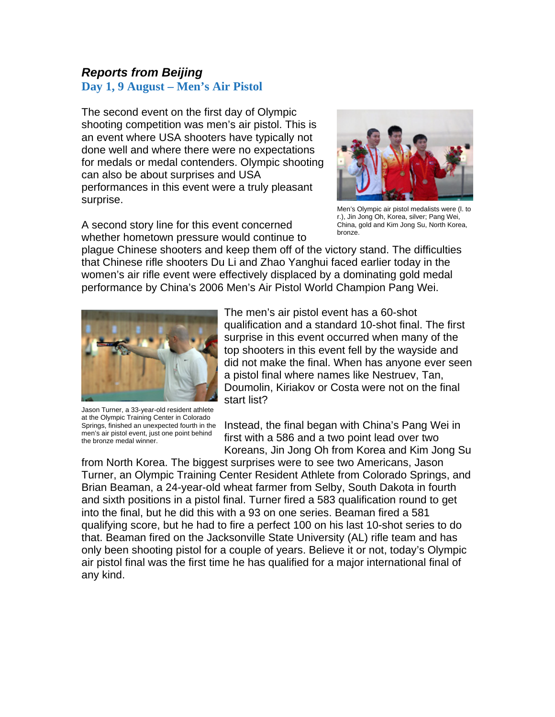# *Reports from Beijing*

# **Day 1, 9 August – Men's Air Pistol**

The second event on the first day of Olympic shooting competition was men's air pistol. This is an event where USA shooters have typically not done well and where there were no expectations for medals or medal contenders. Olympic shooting can also be about surprises and USA performances in this event were a truly pleasant surprise.

A second story line for this event concerned whether hometown pressure would continue to



Men's Olympic air pistol medalists were (l. to r.), Jin Jong Oh, Korea, silver; Pang Wei, China, gold and Kim Jong Su, North Korea, bronze.

plague Chinese shooters and keep them off of the victory stand. The difficulties that Chinese rifle shooters Du Li and Zhao Yanghui faced earlier today in the women's air rifle event were effectively displaced by a dominating gold medal performance by China's 2006 Men's Air Pistol World Champion Pang Wei.



Jason Turner, a 33-year-old resident athlete at the Olympic Training Center in Colorado Springs, finished an unexpected fourth in the men's air pistol event, just one point behind the bronze medal winner.

The men's air pistol event has a 60-shot qualification and a standard 10-shot final. The first surprise in this event occurred when many of the top shooters in this event fell by the wayside and did not make the final. When has anyone ever seen a pistol final where names like Nestruev, Tan, Doumolin, Kiriakov or Costa were not on the final start list?

Instead, the final began with China's Pang Wei in first with a 586 and a two point lead over two Koreans, Jin Jong Oh from Korea and Kim Jong Su

from North Korea. The biggest surprises were to see two Americans, Jason Turner, an Olympic Training Center Resident Athlete from Colorado Springs, and Brian Beaman, a 24-year-old wheat farmer from Selby, South Dakota in fourth and sixth positions in a pistol final. Turner fired a 583 qualification round to get into the final, but he did this with a 93 on one series. Beaman fired a 581 qualifying score, but he had to fire a perfect 100 on his last 10-shot series to do that. Beaman fired on the Jacksonville State University (AL) rifle team and has only been shooting pistol for a couple of years. Believe it or not, today's Olympic air pistol final was the first time he has qualified for a major international final of any kind.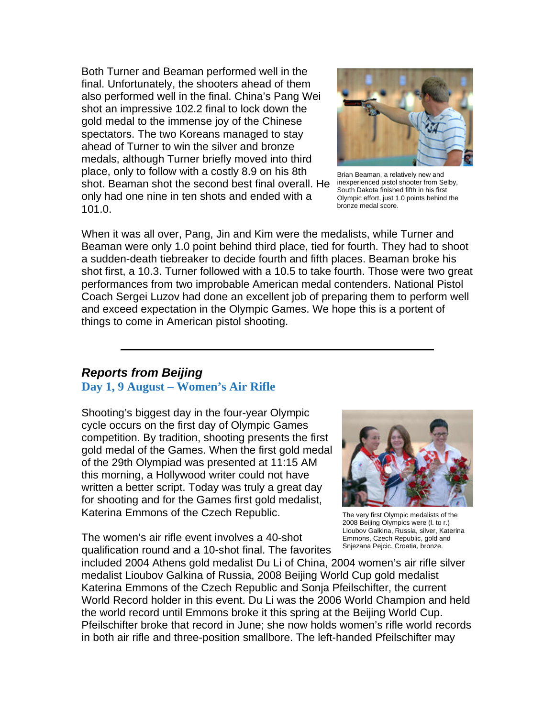Both Turner and Beaman performed well in the final. Unfortunately, the shooters ahead of them also performed well in the final. China's Pang Wei shot an impressive 102.2 final to lock down the gold medal to the immense joy of the Chinese spectators. The two Koreans managed to stay ahead of Turner to win the silver and bronze medals, although Turner briefly moved into third place, only to follow with a costly 8.9 on his 8th shot. Beaman shot the second best final overall. He only had one nine in ten shots and ended with a 101.0.



Brian Beaman, a relatively new and inexperienced pistol shooter from Selby, South Dakota finished fifth in his first Olympic effort, just 1.0 points behind the bronze medal score.

When it was all over, Pang, Jin and Kim were the medalists, while Turner and Beaman were only 1.0 point behind third place, tied for fourth. They had to shoot a sudden-death tiebreaker to decide fourth and fifth places. Beaman broke his shot first, a 10.3. Turner followed with a 10.5 to take fourth. Those were two great performances from two improbable American medal contenders. National Pistol Coach Sergei Luzov had done an excellent job of preparing them to perform well and exceed expectation in the Olympic Games. We hope this is a portent of things to come in American pistol shooting.

#### *Reports from Beijing*

#### **Day 1, 9 August – Women's Air Rifle**

Shooting's biggest day in the four-year Olympic cycle occurs on the first day of Olympic Games competition. By tradition, shooting presents the first gold medal of the Games. When the first gold medal of the 29th Olympiad was presented at 11:15 AM this morning, a Hollywood writer could not have written a better script. Today was truly a great day for shooting and for the Games first gold medalist, Katerina Emmons of the Czech Republic.

The women's air rifle event involves a 40-shot qualification round and a 10-shot final. The favorites



The very first Olympic medalists of the 2008 Beijing Olympics were (l. to r.) Lioubov Galkina, Russia, silver, Katerina Emmons, Czech Republic, gold and Sniezana Peicic, Croatia, bronze.

included 2004 Athens gold medalist Du Li of China, 2004 women's air rifle silver medalist Lioubov Galkina of Russia, 2008 Beijing World Cup gold medalist Katerina Emmons of the Czech Republic and Sonja Pfeilschifter, the current World Record holder in this event. Du Li was the 2006 World Champion and held the world record until Emmons broke it this spring at the Beijing World Cup. Pfeilschifter broke that record in June; she now holds women's rifle world records in both air rifle and three-position smallbore. The left-handed Pfeilschifter may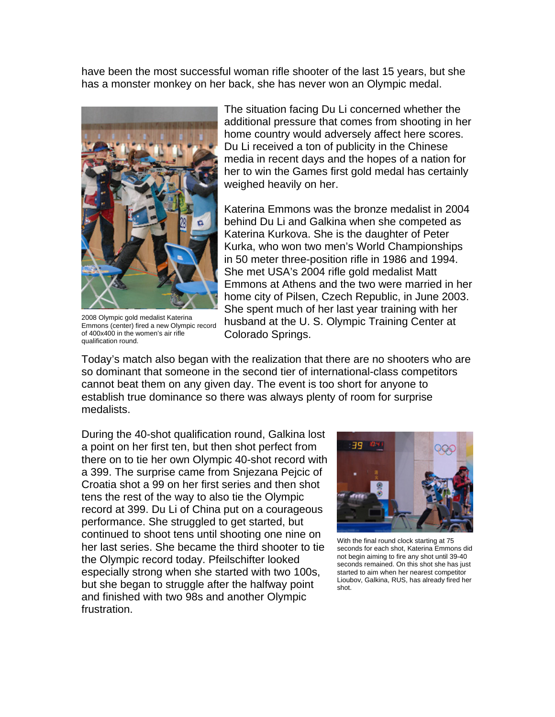have been the most successful woman rifle shooter of the last 15 years, but she has a monster monkey on her back, she has never won an Olympic medal.



2008 Olympic gold medalist Katerina Emmons (center) fired a new Olympic record of 400x400 in the women's air rifle qualification round.

The situation facing Du Li concerned whether the additional pressure that comes from shooting in her home country would adversely affect here scores. Du Li received a ton of publicity in the Chinese media in recent days and the hopes of a nation for her to win the Games first gold medal has certainly weighed heavily on her.

Katerina Emmons was the bronze medalist in 2004 behind Du Li and Galkina when she competed as Katerina Kurkova. She is the daughter of Peter Kurka, who won two men's World Championships in 50 meter three-position rifle in 1986 and 1994. She met USA's 2004 rifle gold medalist Matt Emmons at Athens and the two were married in her home city of Pilsen, Czech Republic, in June 2003. She spent much of her last year training with her husband at the U. S. Olympic Training Center at Colorado Springs.

Today's match also began with the realization that there are no shooters who are so dominant that someone in the second tier of international-class competitors cannot beat them on any given day. The event is too short for anyone to establish true dominance so there was always plenty of room for surprise medalists.

During the 40-shot qualification round, Galkina lost a point on her first ten, but then shot perfect from there on to tie her own Olympic 40-shot record with a 399. The surprise came from Snjezana Pejcic of Croatia shot a 99 on her first series and then shot tens the rest of the way to also tie the Olympic record at 399. Du Li of China put on a courageous performance. She struggled to get started, but continued to shoot tens until shooting one nine on her last series. She became the third shooter to tie the Olympic record today. Pfeilschifter looked especially strong when she started with two 100s, but she began to struggle after the halfway point and finished with two 98s and another Olympic frustration.



With the final round clock starting at 75 seconds for each shot, Katerina Emmons did not begin aiming to fire any shot until 39-40 seconds remained. On this shot she has just started to aim when her nearest competitor Lioubov, Galkina, RUS, has already fired her shot.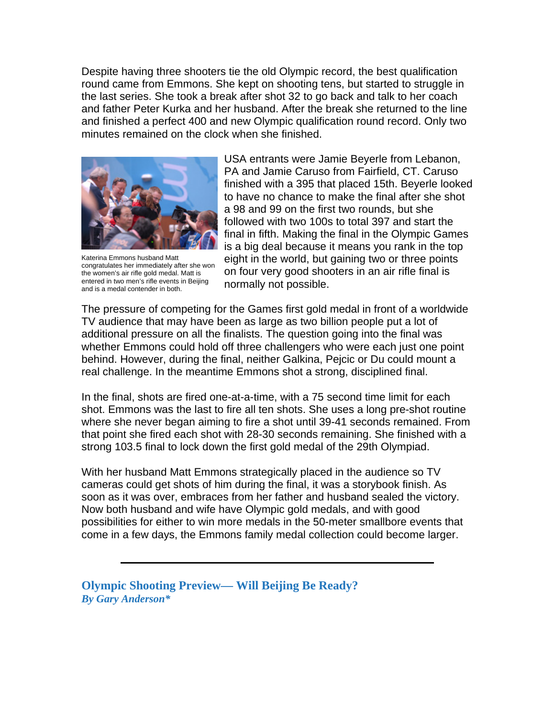Despite having three shooters tie the old Olympic record, the best qualification round came from Emmons. She kept on shooting tens, but started to struggle in the last series. She took a break after shot 32 to go back and talk to her coach and father Peter Kurka and her husband. After the break she returned to the line and finished a perfect 400 and new Olympic qualification round record. Only two minutes remained on the clock when she finished.



Katerina Emmons husband Matt congratulates her immediately after she won the women's air rifle gold medal. Matt is entered in two men's rifle events in Beijing and is a medal contender in both.

USA entrants were Jamie Beyerle from Lebanon, PA and Jamie Caruso from Fairfield, CT. Caruso finished with a 395 that placed 15th. Beyerle looked to have no chance to make the final after she shot a 98 and 99 on the first two rounds, but she followed with two 100s to total 397 and start the final in fifth. Making the final in the Olympic Games is a big deal because it means you rank in the top eight in the world, but gaining two or three points on four very good shooters in an air rifle final is normally not possible.

The pressure of competing for the Games first gold medal in front of a worldwide TV audience that may have been as large as two billion people put a lot of additional pressure on all the finalists. The question going into the final was whether Emmons could hold off three challengers who were each just one point behind. However, during the final, neither Galkina, Pejcic or Du could mount a real challenge. In the meantime Emmons shot a strong, disciplined final.

In the final, shots are fired one-at-a-time, with a 75 second time limit for each shot. Emmons was the last to fire all ten shots. She uses a long pre-shot routine where she never began aiming to fire a shot until 39-41 seconds remained. From that point she fired each shot with 28-30 seconds remaining. She finished with a strong 103.5 final to lock down the first gold medal of the 29th Olympiad.

With her husband Matt Emmons strategically placed in the audience so TV cameras could get shots of him during the final, it was a storybook finish. As soon as it was over, embraces from her father and husband sealed the victory. Now both husband and wife have Olympic gold medals, and with good possibilities for either to win more medals in the 50-meter smallbore events that come in a few days, the Emmons family medal collection could become larger.

**Olympic Shooting Preview— Will Beijing Be Ready?**  *By Gary Anderson\**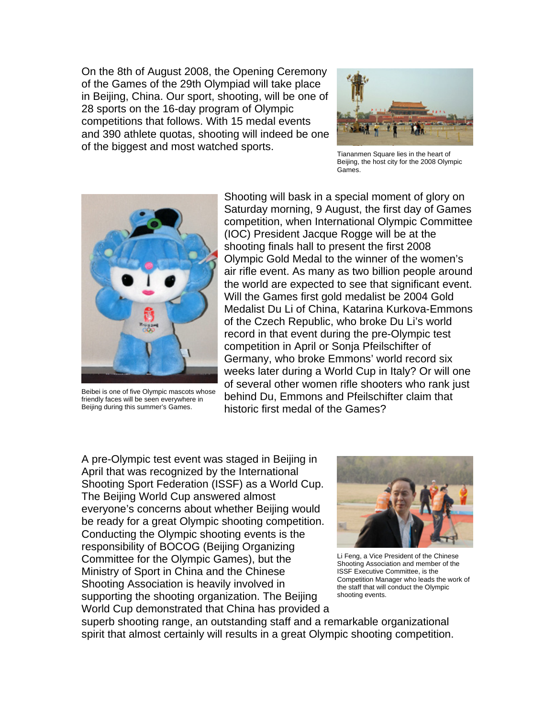On the 8th of August 2008, the Opening Ceremony of the Games of the 29th Olympiad will take place in Beijing, China. Our sport, shooting, will be one of 28 sports on the 16-day program of Olympic competitions that follows. With 15 medal events and 390 athlete quotas, shooting will indeed be one of the biggest and most watched sports.



Tiananmen Square lies in the heart of Beijing, the host city for the 2008 Olympic Games.



Beibei is one of five Olympic mascots whose friendly faces will be seen everywhere in Beijing during this summer's Games.

Shooting will bask in a special moment of glory on Saturday morning, 9 August, the first day of Games competition, when International Olympic Committee (IOC) President Jacque Rogge will be at the shooting finals hall to present the first 2008 Olympic Gold Medal to the winner of the women's air rifle event. As many as two billion people around the world are expected to see that significant event. Will the Games first gold medalist be 2004 Gold Medalist Du Li of China, Katarina Kurkova-Emmons of the Czech Republic, who broke Du Li's world record in that event during the pre-Olympic test competition in April or Sonja Pfeilschifter of Germany, who broke Emmons' world record six weeks later during a World Cup in Italy? Or will one of several other women rifle shooters who rank just behind Du, Emmons and Pfeilschifter claim that historic first medal of the Games?

A pre-Olympic test event was staged in Beijing in April that was recognized by the International Shooting Sport Federation (ISSF) as a World Cup. The Beijing World Cup answered almost everyone's concerns about whether Beijing would be ready for a great Olympic shooting competition. Conducting the Olympic shooting events is the responsibility of BOCOG (Beijing Organizing Committee for the Olympic Games), but the Ministry of Sport in China and the Chinese Shooting Association is heavily involved in supporting the shooting organization. The Beijing World Cup demonstrated that China has provided a



Li Feng, a Vice President of the Chinese Shooting Association and member of the ISSF Executive Committee, is the Competition Manager who leads the work of the staff that will conduct the Olympic shooting events.

superb shooting range, an outstanding staff and a remarkable organizational spirit that almost certainly will results in a great Olympic shooting competition.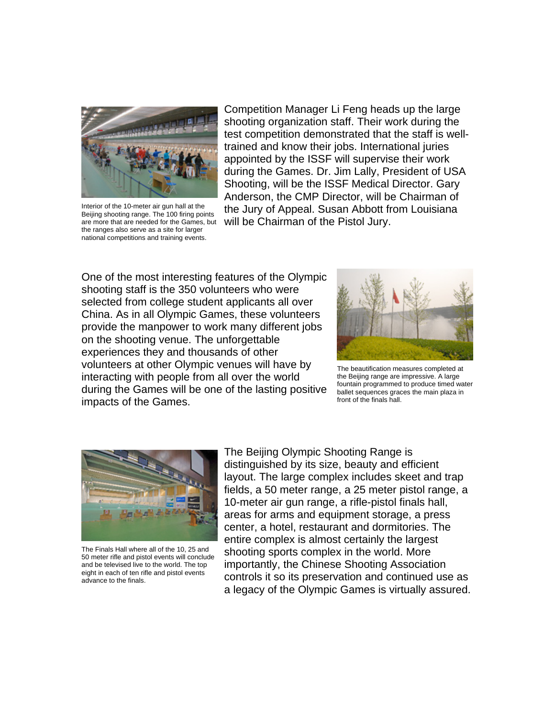

Interior of the 10-meter air gun hall at the Beijing shooting range. The 100 firing points are more that are needed for the Games, but the ranges also serve as a site for larger national competitions and training events.

Competition Manager Li Feng heads up the large shooting organization staff. Their work during the test competition demonstrated that the staff is welltrained and know their jobs. International juries appointed by the ISSF will supervise their work during the Games. Dr. Jim Lally, President of USA Shooting, will be the ISSF Medical Director. Gary Anderson, the CMP Director, will be Chairman of the Jury of Appeal. Susan Abbott from Louisiana will be Chairman of the Pistol Jury.

One of the most interesting features of the Olympic shooting staff is the 350 volunteers who were selected from college student applicants all over China. As in all Olympic Games, these volunteers provide the manpower to work many different jobs on the shooting venue. The unforgettable experiences they and thousands of other volunteers at other Olympic venues will have by interacting with people from all over the world during the Games will be one of the lasting positive impacts of the Games.



The beautification measures completed at the Beijing range are impressive. A large fountain programmed to produce timed water ballet sequences graces the main plaza in front of the finals hall.



The Finals Hall where all of the 10, 25 and 50 meter rifle and pistol events will conclude and be televised live to the world. The top eight in each of ten rifle and pistol events advance to the finals.

The Beijing Olympic Shooting Range is distinguished by its size, beauty and efficient layout. The large complex includes skeet and trap fields, a 50 meter range, a 25 meter pistol range, a 10-meter air gun range, a rifle-pistol finals hall, areas for arms and equipment storage, a press center, a hotel, restaurant and dormitories. The entire complex is almost certainly the largest shooting sports complex in the world. More importantly, the Chinese Shooting Association controls it so its preservation and continued use as a legacy of the Olympic Games is virtually assured.